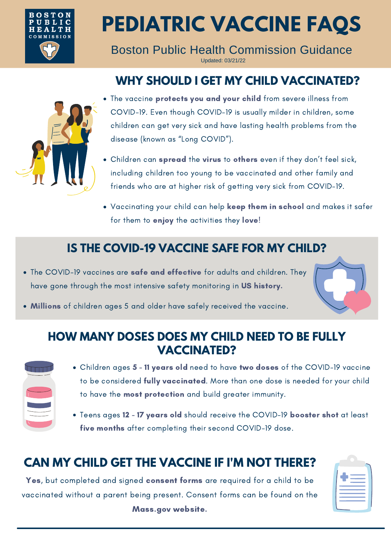

# **PEDIATRIC VACCINE FAQS**

Boston Public Health Commission Guidance Updated: 03/21/22

## **WHY SHOULD I GET MY CHILD VACCINATED?**



- The vaccine protects you and your child from severe illness from COVID-19. Even though COVID-19 is usually milder in children, some children can get very sick and have lasting health problems from the disease (known as "Long COVID").
- Children can spread the virus to others even if they don't feel sick, including children too young to be vaccinated and other family and friends who are at higher risk of getting very sick from COVID-19.
- Vaccinating your child can help keep them in school and makes it safer for them to enjoy the activities they love!

#### **IS THE COVID-19 VACCINE SAFE FOR MY CHILD?**

- The COVID-19 vaccines are safe and effective for adults and children. They have gone through the most intensive safety monitoring in US history.
- Millions of children ages 5 and older have safely received the vaccine.

#### **HOW MANY DOSES DOES MY CHILD NEED TO BE FULLY VACCINATED?**



- Children ages 5 11 years old need to have two doses of the COVID-19 vaccine to be considered fully vaccinated. More than one dose is needed for your child to have the **most protection** and build greater immunity.
- Teens ages 12 17 years old should receive the COVID-19 booster shot at least five months after completing their second COVID-19 dose.

#### **CAN MY CHILD GET THE VACCINE IF I'M NOT THERE?**

Yes, but completed and signed consent forms are required for a child to be vaccinated without a parent being present. Consent forms can be found on the Mass.gov website.